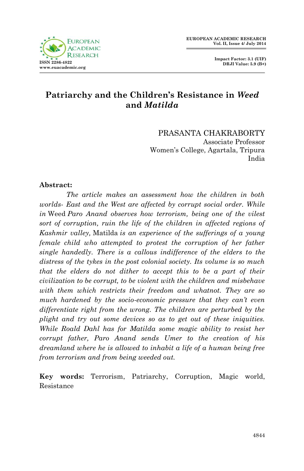# **Patriarchy and the Children's Resistance in** *Weed*  **and** *Matilda*

PRASANTA CHAKRABORTY Associate Professor Women's College, Agartala, Tripura India

### **Abstract:**

*The article makes an assessment how the children in both worlds- East and the West are affected by corrupt social order. While in* Weed *Paro Anand observes how terrorism, being one of the vilest sort of corruption, ruin the life of the children in affected regions of Kashmir valley,* Matilda *is an experience of the sufferings of a young female child who attempted to protest the corruption of her father single handedly. There is a callous indifference of the elders to the distress of the tykes in the post colonial society. Its volume is so much that the elders do not dither to accept this to be a part of their civilization to be corrupt, to be violent with the children and misbehave with them which restricts their freedom and whatnot. They are so much hardened by the socio-economic pressure that they can't even differentiate right from the wrong. The children are perturbed by the plight and try out some devices so as to get out of these iniquities. While Roald Dahl has for Matilda some magic ability to resist her corrupt father, Paro Anand sends Umer to the creation of his dreamland where he is allowed to inhabit a life of a human being free from terrorism and from being weeded out.* 

**Key words:** Terrorism, Patriarchy, Corruption, Magic world, Resistance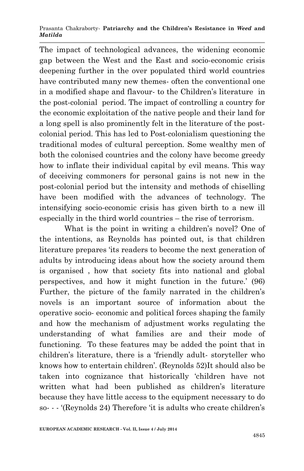The impact of technological advances, the widening economic gap between the West and the East and socio-economic crisis deepening further in the over populated third world countries have contributed many new themes- often the conventional one in a modified shape and flavour- to the Children's literature in the post-colonial period. The impact of controlling a country for the economic exploitation of the native people and their land for a long spell is also prominently felt in the literature of the postcolonial period. This has led to Post-colonialism questioning the traditional modes of cultural perception. Some wealthy men of both the colonised countries and the colony have become greedy how to inflate their individual capital by evil means. This way of deceiving commoners for personal gains is not new in the post-colonial period but the intensity and methods of chiselling have been modified with the advances of technology. The intensifying socio-economic crisis has given birth to a new ill especially in the third world countries – the rise of terrorism.

What is the point in writing a children's novel? One of the intentions, as Reynolds has pointed out, is that children literature prepares 'its readers to become the next generation of adults by introducing ideas about how the society around them is organised , how that society fits into national and global perspectives, and how it might function in the future.' (96) Further, the picture of the family narrated in the children's novels is an important source of information about the operative socio- economic and political forces shaping the family and how the mechanism of adjustment works regulating the understanding of what families are and their mode of functioning. To these features may be added the point that in children's literature, there is a 'friendly adult- storyteller who knows how to entertain children'. (Reynolds 52)It should also be taken into cognizance that historically 'children have not written what had been published as children's literature because they have little access to the equipment necessary to do so- - - '(Reynolds 24) Therefore 'it is adults who create children's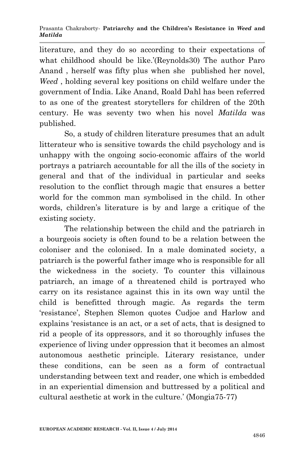literature, and they do so according to their expectations of what childhood should be like.'(Reynolds30) The author Paro Anand , herself was fifty plus when she published her novel, *Weed* , holding several key positions on child welfare under the government of India. Like Anand, Roald Dahl has been referred to as one of the greatest storytellers for children of the 20th century. He was seventy two when his novel *Matilda* was published.

So, a study of children literature presumes that an adult litterateur who is sensitive towards the child psychology and is unhappy with the ongoing socio-economic affairs of the world portrays a patriarch accountable for all the ills of the society in general and that of the individual in particular and seeks resolution to the conflict through magic that ensures a better world for the common man symbolised in the child. In other words, children's literature is by and large a critique of the existing society.

The relationship between the child and the patriarch in a bourgeois society is often found to be a relation between the coloniser and the colonised. In a male dominated society, a patriarch is the powerful father image who is responsible for all the wickedness in the society. To counter this villainous patriarch, an image of a threatened child is portrayed who carry on its resistance against this in its own way until the child is benefitted through magic. As regards the term 'resistance', Stephen Slemon quotes Cudjoe and Harlow and explains 'resistance is an act, or a set of acts, that is designed to rid a people of its oppressors, and it so thoroughly infuses the experience of living under oppression that it becomes an almost autonomous aesthetic principle. Literary resistance, under these conditions, can be seen as a form of contractual understanding between text and reader, one which is embedded in an experiential dimension and buttressed by a political and cultural aesthetic at work in the culture.' (Mongia75-77)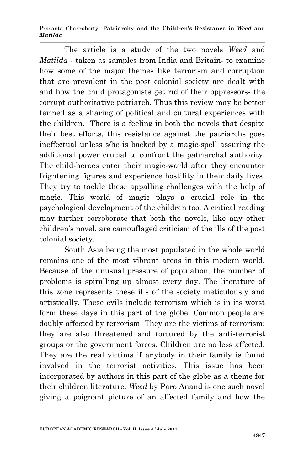The article is a study of the two novels *Weed* and *Matilda* - taken as samples from India and Britain- to examine how some of the major themes like terrorism and corruption that are prevalent in the post colonial society are dealt with and how the child protagonists get rid of their oppressors- the corrupt authoritative patriarch. Thus this review may be better termed as a sharing of political and cultural experiences with the children. There is a feeling in both the novels that despite their best efforts, this resistance against the patriarchs goes ineffectual unless s/he is backed by a magic-spell assuring the additional power crucial to confront the patriarchal authority. The child-heroes enter their magic-world after they encounter frightening figures and experience hostility in their daily lives. They try to tackle these appalling challenges with the help of magic. This world of magic plays a crucial role in the psychological development of the children too. A critical reading may further corroborate that both the novels, like any other children's novel, are camouflaged criticism of the ills of the post colonial society.

South Asia being the most populated in the whole world remains one of the most vibrant areas in this modern world. Because of the unusual pressure of population, the number of problems is spiralling up almost every day. The literature of this zone represents these ills of the society meticulously and artistically. These evils include terrorism which is in its worst form these days in this part of the globe. Common people are doubly affected by terrorism. They are the victims of terrorism; they are also threatened and tortured by the anti-terrorist groups or the government forces. Children are no less affected. They are the real victims if anybody in their family is found involved in the terrorist activities. This issue has been incorporated by authors in this part of the globe as a theme for their children literature. *Weed* by Paro Anand is one such novel giving a poignant picture of an affected family and how the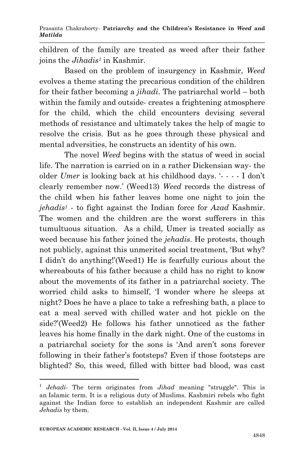children of the family are treated as weed after their father joins the *Jihadis<sup>1</sup>* in Kashmir.

Based on the problem of insurgency in Kashmir, *Weed* evolves a theme stating the precarious condition of the children for their father becoming a *jihadi*. The patriarchal world – both within the family and outside- creates a frightening atmosphere for the child, which the child encounters devising several methods of resistance and ultimately takes the help of magic to resolve the crisis. But as he goes through these physical and mental adversities, he constructs an identity of his own.

The novel *Weed* begins with the status of weed in social life. The narration is carried on in a rather Dickensian way- the older *Umer* is looking back at his childhood days. '- - - - I don't clearly remember now.' (Weed13) *Weed* records the distress of the child when his father leaves home one night to join the *jehadis<sup>1</sup>* - to fight against the Indian force for *Azad* Kashmir. The women and the children are the worst sufferers in this tumultuous situation. As a child, Umer is treated socially as weed because his father joined the *jehadis*. He protests, though not publicly, against this unmerited social treatment, 'But why? I didn't do anything!'(Weed1) He is fearfully curious about the whereabouts of his father because a child has no right to know about the movements of its father in a patriarchal society. The worried child asks to himself, 'I wonder where he sleeps at night? Does he have a place to take a refreshing bath, a place to eat a meal served with chilled water and hot pickle on the side?'(Weed2) He follows his father unnoticed as the father leaves his home finally in the dark night. One of the customs in a patriarchal society for the sons is 'And aren't sons forever following in their father's footsteps? Even if those footsteps are blighted? So, this weed, filled with bitter bad blood, was cast

**.** 

<sup>1</sup> *Jehadi*- The term originates from *Jihad* meaning "struggle". This is an Islamic term. It is a religious duty of Muslims. Kashmiri rebels who fight against the Indian force to establish an independent Kashmir are called *Jehadis* by them.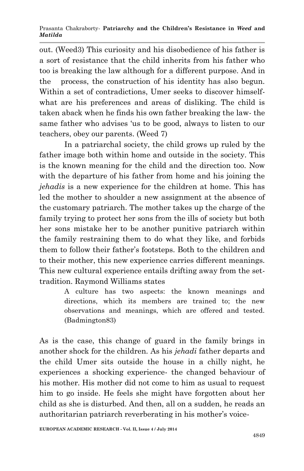out. (Weed3) This curiosity and his disobedience of his father is a sort of resistance that the child inherits from his father who too is breaking the law although for a different purpose. And in the process, the construction of his identity has also begun. Within a set of contradictions, Umer seeks to discover himselfwhat are his preferences and areas of disliking. The child is taken aback when he finds his own father breaking the law- the same father who advises 'us to be good, always to listen to our teachers, obey our parents. (Weed 7)

In a patriarchal society, the child grows up ruled by the father image both within home and outside in the society. This is the known meaning for the child and the direction too. Now with the departure of his father from home and his joining the *jehadis* is a new experience for the children at home. This has led the mother to shoulder a new assignment at the absence of the customary patriarch. The mother takes up the charge of the family trying to protect her sons from the ills of society but both her sons mistake her to be another punitive patriarch within the family restraining them to do what they like, and forbids them to follow their father's footsteps. Both to the children and to their mother, this new experience carries different meanings. This new cultural experience entails drifting away from the settradition. Raymond Williams states

> A culture has two aspects: the known meanings and directions, which its members are trained to; the new observations and meanings, which are offered and tested. (Badmington83)

As is the case, this change of guard in the family brings in another shock for the children. As his *jehadi* father departs and the child Umer sits outside the house in a chilly night, he experiences a shocking experience- the changed behaviour of his mother. His mother did not come to him as usual to request him to go inside. He feels she might have forgotten about her child as she is disturbed. And then, all on a sudden, he reads an authoritarian patriarch reverberating in his mother's voice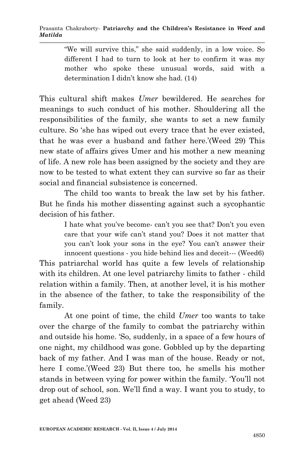"We will survive this," she said suddenly, in a low voice. So different I had to turn to look at her to confirm it was my mother who spoke these unusual words, said with a determination I didn't know she had. (14)

This cultural shift makes *Umer* bewildered. He searches for meanings to such conduct of his mother. Shouldering all the responsibilities of the family, she wants to set a new family culture. So 'she has wiped out every trace that he ever existed, that he was ever a husband and father here.'(Weed 29) This new state of affairs gives Umer and his mother a new meaning of life. A new role has been assigned by the society and they are now to be tested to what extent they can survive so far as their social and financial subsistence is concerned.

 The child too wants to break the law set by his father. But he finds his mother dissenting against such a sycophantic decision of his father.

> I hate what you've become- can't you see that? Don't you even care that your wife can't stand you? Does it not matter that you can't look your sons in the eye? You can't answer their innocent questions - you hide behind lies and deceit--- (Weed6)

This patriarchal world has quite a few levels of relationship with its children. At one level patriarchy limits to father - child relation within a family. Then, at another level, it is his mother in the absence of the father, to take the responsibility of the family.

At one point of time, the child *Umer* too wants to take over the charge of the family to combat the patriarchy within and outside his home. 'So, suddenly, in a space of a few hours of one night, my childhood was gone. Gobbled up by the departing back of my father. And I was man of the house. Ready or not, here I come.'(Weed 23) But there too, he smells his mother stands in between vying for power within the family. 'You'll not drop out of school, son. We'll find a way. I want you to study, to get ahead (Weed 23)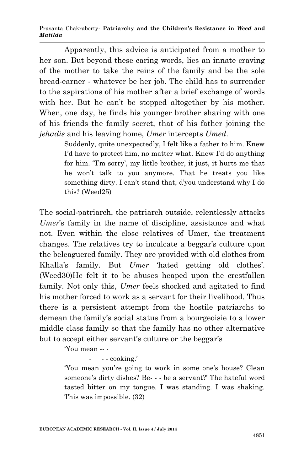Apparently, this advice is anticipated from a mother to her son. But beyond these caring words, lies an innate craving of the mother to take the reins of the family and be the sole bread-earner - whatever be her job. The child has to surrender to the aspirations of his mother after a brief exchange of words with her. But he can't be stopped altogether by his mother. When, one day, he finds his younger brother sharing with one of his friends the family secret, that of his father joining the *jehadis* and his leaving home, *Umer* intercepts *Umed*.

> Suddenly, quite unexpectedly, I felt like a father to him. Knew I'd have to protect him, no matter what. Knew I'd do anything for him. "I'm sorry', my little brother, it just, it hurts me that he won't talk to you anymore. That he treats you like something dirty. I can't stand that, d'you understand why I do this? (Weed25)

The social-patriarch, the patriarch outside, relentlessly attacks *Umer*'s family in the name of discipline, assistance and what not. Even within the close relatives of Umer, the treatment changes. The relatives try to inculcate a beggar's culture upon the beleaguered family. They are provided with old clothes from Khalla's family. But *Umer* 'hated getting old clothes'. (Weed30)He felt it to be abuses heaped upon the crestfallen family. Not only this, *Umer* feels shocked and agitated to find his mother forced to work as a servant for their livelihood. Thus there is a persistent attempt from the hostile patriarchs to demean the family's social status from a bourgeoisie to a lower middle class family so that the family has no other alternative but to accept either servant's culture or the beggar's

'You mean -- -

- - - cooking.'

'You mean you're going to work in some one's house? Clean someone's dirty dishes? Be- - - be a servant?' The hateful word tasted bitter on my tongue. I was standing. I was shaking. This was impossible. (32)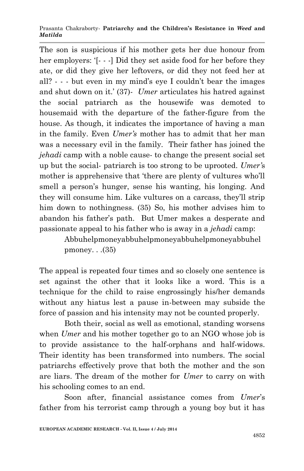The son is suspicious if his mother gets her due honour from her employers: '[- - -] Did they set aside food for her before they ate, or did they give her leftovers, or did they not feed her at all? - - - but even in my mind's eye I couldn't bear the images and shut down on it.' (37)- *Umer* articulates his hatred against the social patriarch as the housewife was demoted to housemaid with the departure of the father-figure from the house. As though, it indicates the importance of having a man in the family. Even *Umer's* mother has to admit that her man was a necessary evil in the family. Their father has joined the *jehadi* camp with a noble cause- to change the present social set up but the social- patriarch is too strong to be uprooted. *Umer'*s mother is apprehensive that 'there are plenty of vultures who'll smell a person's hunger, sense his wanting, his longing. And they will consume him. Like vultures on a carcass, they'll strip him down to nothingness. (35) So, his mother advises him to abandon his father's path. But Umer makes a desperate and passionate appeal to his father who is away in a *jehadi* camp:

> Abbuhelpmoneyabbuhelpmoneyabbuhelpmoneyabbuhel pmoney.  $(35)$

The appeal is repeated four times and so closely one sentence is set against the other that it looks like a word. This is a technique for the child to raise engrossingly his/her demands without any hiatus lest a pause in-between may subside the force of passion and his intensity may not be counted properly.

Both their, social as well as emotional, standing worsens when *Umer* and his mother together go to an NGO whose job is to provide assistance to the half-orphans and half-widows. Their identity has been transformed into numbers. The social patriarchs effectively prove that both the mother and the son are liars. The dream of the mother for *Umer* to carry on with his schooling comes to an end.

Soon after, financial assistance comes from *Umer*'s father from his terrorist camp through a young boy but it has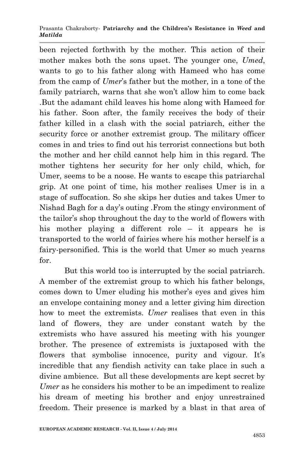been rejected forthwith by the mother. This action of their mother makes both the sons upset. The younger one, *Umed*, wants to go to his father along with Hameed who has come from the camp of *Umer*'s father but the mother, in a tone of the family patriarch, warns that she won't allow him to come back .But the adamant child leaves his home along with Hameed for his father. Soon after, the family receives the body of their father killed in a clash with the social patriarch, either the security force or another extremist group. The military officer comes in and tries to find out his terrorist connections but both the mother and her child cannot help him in this regard. The mother tightens her security for her only child, which, for Umer, seems to be a noose. He wants to escape this patriarchal grip. At one point of time, his mother realises Umer is in a stage of suffocation. So she skips her duties and takes Umer to Nishad Bagh for a day's outing .From the stingy environment of the tailor's shop throughout the day to the world of flowers with his mother playing a different role – it appears he is transported to the world of fairies where his mother herself is a fairy-personified. This is the world that Umer so much yearns for.

But this world too is interrupted by the social patriarch. A member of the extremist group to which his father belongs, comes down to Umer eluding his mother's eyes and gives him an envelope containing money and a letter giving him direction how to meet the extremists. *Umer* realises that even in this land of flowers, they are under constant watch by the extremists who have assured his meeting with his younger brother. The presence of extremists is juxtaposed with the flowers that symbolise innocence, purity and vigour. It's incredible that any fiendish activity can take place in such a divine ambience. But all these developments are kept secret by *Umer* as he considers his mother to be an impediment to realize his dream of meeting his brother and enjoy unrestrained freedom. Their presence is marked by a blast in that area of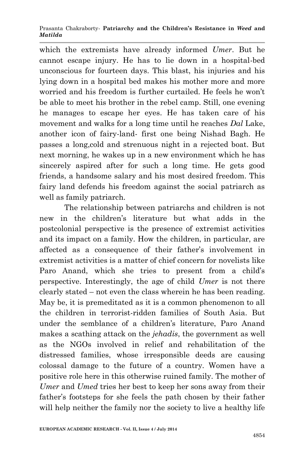which the extremists have already informed *Umer*. But he cannot escape injury. He has to lie down in a hospital-bed unconscious for fourteen days. This blast, his injuries and his lying down in a hospital bed makes his mother more and more worried and his freedom is further curtailed. He feels he won't be able to meet his brother in the rebel camp. Still, one evening he manages to escape her eyes. He has taken care of his movement and walks for a long time until he reaches *Dal* Lake, another icon of fairy-land- first one being Nishad Bagh. He passes a long,cold and strenuous night in a rejected boat. But next morning, he wakes up in a new environment which he has sincerely aspired after for such a long time. He gets good friends, a handsome salary and his most desired freedom. This fairy land defends his freedom against the social patriarch as well as family patriarch.

The relationship between patriarchs and children is not new in the children's literature but what adds in the postcolonial perspective is the presence of extremist activities and its impact on a family. How the children, in particular, are affected as a consequence of their father's involvement in extremist activities is a matter of chief concern for novelists like Paro Anand, which she tries to present from a child's perspective. Interestingly, the age of child *Umer* is not there clearly stated – not even the class wherein he has been reading. May be, it is premeditated as it is a common phenomenon to all the children in terrorist-ridden families of South Asia. But under the semblance of a children's literature, Paro Anand makes a scathing attack on the *jehadis*, the government as well as the NGOs involved in relief and rehabilitation of the distressed families, whose irresponsible deeds are causing colossal damage to the future of a country. Women have a positive role here in this otherwise ruined family. The mother of *Umer* and *Umed* tries her best to keep her sons away from their father's footsteps for she feels the path chosen by their father will help neither the family nor the society to live a healthy life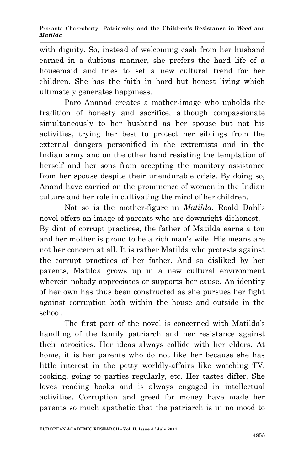with dignity. So, instead of welcoming cash from her husband earned in a dubious manner, she prefers the hard life of a housemaid and tries to set a new cultural trend for her children. She has the faith in hard but honest living which ultimately generates happiness.

Paro Ananad creates a mother-image who upholds the tradition of honesty and sacrifice, although compassionate simultaneously to her husband as her spouse but not his activities, trying her best to protect her siblings from the external dangers personified in the extremists and in the Indian army and on the other hand resisting the temptation of herself and her sons from accepting the monitory assistance from her spouse despite their unendurable crisis. By doing so, Anand have carried on the prominence of women in the Indian culture and her role in cultivating the mind of her children.

Not so is the mother-figure in *Matilda.* Roald Dahl's novel offers an image of parents who are downright dishonest. By dint of corrupt practices, the father of Matilda earns a ton and her mother is proud to be a rich man's wife .His means are not her concern at all. It is rather Matilda who protests against the corrupt practices of her father. And so disliked by her parents, Matilda grows up in a new cultural environment wherein nobody appreciates or supports her cause. An identity of her own has thus been constructed as she pursues her fight against corruption both within the house and outside in the school.

The first part of the novel is concerned with Matilda's handling of the family patriarch and her resistance against their atrocities. Her ideas always collide with her elders. At home, it is her parents who do not like her because she has little interest in the petty worldly-affairs like watching TV, cooking, going to parties regularly, etc. Her tastes differ. She loves reading books and is always engaged in intellectual activities. Corruption and greed for money have made her parents so much apathetic that the patriarch is in no mood to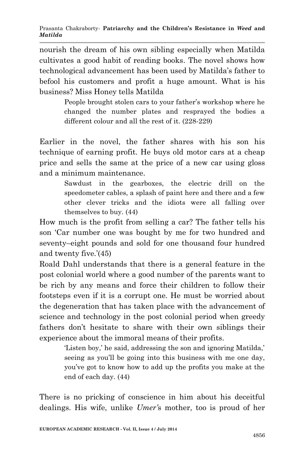nourish the dream of his own sibling especially when Matilda cultivates a good habit of reading books. The novel shows how technological advancement has been used by Matilda's father to befool his customers and profit a huge amount. What is his business? Miss Honey tells Matilda

> People brought stolen cars to your father's workshop where he changed the number plates and resprayed the bodies a different colour and all the rest of it. (228-229)

Earlier in the novel, the father shares with his son his technique of earning profit. He buys old motor cars at a cheap price and sells the same at the price of a new car using gloss and a minimum maintenance.

> Sawdust in the gearboxes, the electric drill on the speedometer cables, a splash of paint here and there and a few other clever tricks and the idiots were all falling over themselves to buy. (44)

How much is the profit from selling a car? The father tells his son 'Car number one was bought by me for two hundred and seventy–eight pounds and sold for one thousand four hundred and twenty five.'(45)

Roald Dahl understands that there is a general feature in the post colonial world where a good number of the parents want to be rich by any means and force their children to follow their footsteps even if it is a corrupt one. He must be worried about the degeneration that has taken place with the advancement of science and technology in the post colonial period when greedy fathers don't hesitate to share with their own siblings their experience about the immoral means of their profits.

> 'Listen boy,' he said, addressing the son and ignoring Matilda,' seeing as you'll be going into this business with me one day, you've got to know how to add up the profits you make at the end of each day. (44)

There is no pricking of conscience in him about his deceitful dealings. His wife, unlike *Umer'*s mother, too is proud of her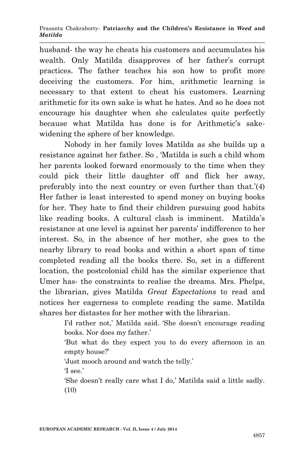husband- the way he cheats his customers and accumulates his wealth. Only Matilda disapproves of her father's corrupt practices. The father teaches his son how to profit more deceiving the customers. For him, arithmetic learning is necessary to that extent to cheat his customers. Learning arithmetic for its own sake is what he hates. And so he does not encourage his daughter when she calculates quite perfectly because what Matilda has done is for Arithmetic's sakewidening the sphere of her knowledge.

Nobody in her family loves Matilda as she builds up a resistance against her father. So , 'Matilda is such a child whom her parents looked forward enormously to the time when they could pick their little daughter off and flick her away, preferably into the next country or even further than that.'(4) Her father is least interested to spend money on buying books for her. They hate to find their children pursuing good habits like reading books. A cultural clash is imminent. Matilda's resistance at one level is against her parents' indifference to her interest. So, in the absence of her mother, she goes to the nearby library to read books and within a short span of time completed reading all the books there. So, set in a different location, the postcolonial child has the similar experience that Umer has- the constraints to realise the dreams. Mrs. Phelps, the librarian, gives Matilda *Great Expectations* to read and notices her eagerness to complete reading the same. Matilda shares her distastes for her mother with the librarian.

> I'd rather not,' Matilda said. 'She doesn't encourage reading books. Nor does my father.'

> 'But what do they expect you to do every afternoon in an empty house?'

'Just mooch around and watch the telly.'

'I see.'

'She doesn't really care what I do,' Matilda said a little sadly. (10)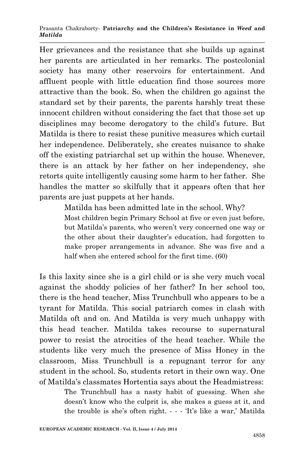Her grievances and the resistance that she builds up against her parents are articulated in her remarks. The postcolonial society has many other reservoirs for entertainment. And affluent people with little education find those sources more attractive than the book. So, when the children go against the standard set by their parents, the parents harshly treat these innocent children without considering the fact that those set up disciplines may become derogatory to the child's future. But Matilda is there to resist these punitive measures which curtail her independence. Deliberately, she creates nuisance to shake off the existing patriarchal set up within the house. Whenever, there is an attack by her father on her independency, she retorts quite intelligently causing some harm to her father. She handles the matter so skilfully that it appears often that her parents are just puppets at her hands.

> Matilda has been admitted late in the school. Why? Most children begin Primary School at five or even just before, but Matilda's parents, who weren't very concerned one way or the other about their daughter's education, had forgotten to make proper arrangements in advance. She was five and a half when she entered school for the first time. (60)

Is this laxity since she is a girl child or is she very much vocal against the shoddy policies of her father? In her school too, there is the head teacher, Miss Trunchbull who appears to be a tyrant for Matilda. This social patriarch comes in clash with Matilda oft and on. And Matilda is very much unhappy with this head teacher. Matilda takes recourse to supernatural power to resist the atrocities of the head teacher. While the students like very much the presence of Miss Honey in the classroom, Miss Trunchbull is a repugnant terror for any student in the school. So, students retort in their own way. One of Matilda's classmates Hortentia says about the Headmistress:

> The Trunchbull has a nasty habit of guessing. When she doesn't know who the culprit is, she makes a guess at it, and the trouble is she's often right. - - - 'It's like a war,' Matilda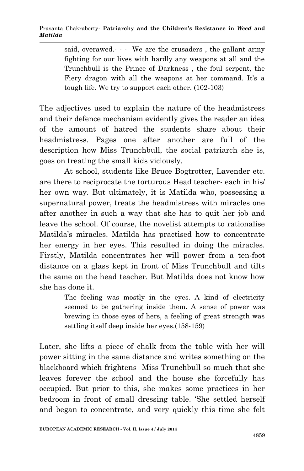said, overawed.--- We are the crusaders, the gallant army fighting for our lives with hardly any weapons at all and the Trunchbull is the Prince of Darkness , the foul serpent, the Fiery dragon with all the weapons at her command. It's a tough life. We try to support each other. (102-103)

The adjectives used to explain the nature of the headmistress and their defence mechanism evidently gives the reader an idea of the amount of hatred the students share about their headmistress. Pages one after another are full of the description how Miss Trunchbull, the social patriarch she is, goes on treating the small kids viciously.

At school, students like Bruce Bogtrotter, Lavender etc. are there to reciprocate the torturous Head teacher- each in his/ her own way. But ultimately, it is Matilda who, possessing a supernatural power, treats the headmistress with miracles one after another in such a way that she has to quit her job and leave the school. Of course, the novelist attempts to rationalise Matilda's miracles. Matilda has practised how to concentrate her energy in her eyes. This resulted in doing the miracles. Firstly, Matilda concentrates her will power from a ten-foot distance on a glass kept in front of Miss Trunchbull and tilts the same on the head teacher. But Matilda does not know how she has done it.

> The feeling was mostly in the eyes. A kind of electricity seemed to be gathering inside them. A sense of power was brewing in those eyes of hers, a feeling of great strength was settling itself deep inside her eyes.(158-159)

Later, she lifts a piece of chalk from the table with her will power sitting in the same distance and writes something on the blackboard which frightens Miss Trunchbull so much that she leaves forever the school and the house she forcefully has occupied. But prior to this, she makes some practices in her bedroom in front of small dressing table. 'She settled herself and began to concentrate, and very quickly this time she felt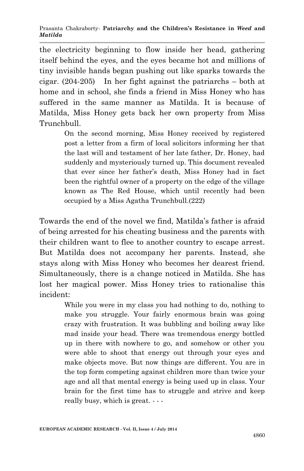the electricity beginning to flow inside her head, gathering itself behind the eyes, and the eyes became hot and millions of tiny invisible hands began pushing out like sparks towards the cigar. (204-205) In her fight against the patriarchs – both at home and in school, she finds a friend in Miss Honey who has suffered in the same manner as Matilda. It is because of Matilda, Miss Honey gets back her own property from Miss Trunchbull.

> On the second morning, Miss Honey received by registered post a letter from a firm of local solicitors informing her that the last will and testament of her late father, Dr. Honey, had suddenly and mysteriously turned up. This document revealed that ever since her father's death, Miss Honey had in fact been the rightful owner of a property on the edge of the village known as The Red House, which until recently had been occupied by a Miss Agatha Trunchbull.(222)

Towards the end of the novel we find, Matilda's father is afraid of being arrested for his cheating business and the parents with their children want to flee to another country to escape arrest. But Matilda does not accompany her parents. Instead, she stays along with Miss Honey who becomes her dearest friend. Simultaneously, there is a change noticed in Matilda. She has lost her magical power. Miss Honey tries to rationalise this incident:

> While you were in my class you had nothing to do, nothing to make you struggle. Your fairly enormous brain was going crazy with frustration. It was bubbling and boiling away like mad inside your head. There was tremendous energy bottled up in there with nowhere to go, and somehow or other you were able to shoot that energy out through your eyes and make objects move. But now things are different. You are in the top form competing against children more than twice your age and all that mental energy is being used up in class. Your brain for the first time has to struggle and strive and keep really busy, which is great. - - -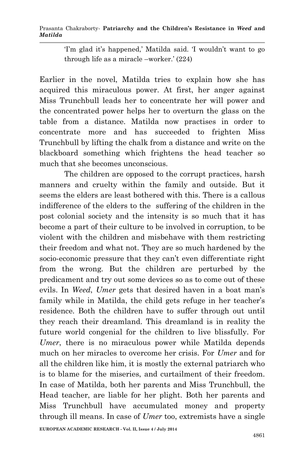'I'm glad it's happened,' Matilda said. 'I wouldn't want to go through life as a miracle –worker.' (224)

Earlier in the novel, Matilda tries to explain how she has acquired this miraculous power. At first, her anger against Miss Trunchbull leads her to concentrate her will power and the concentrated power helps her to overturn the glass on the table from a distance. Matilda now practises in order to concentrate more and has succeeded to frighten Miss Trunchbull by lifting the chalk from a distance and write on the blackboard something which frightens the head teacher so much that she becomes unconscious.

The children are opposed to the corrupt practices, harsh manners and cruelty within the family and outside. But it seems the elders are least bothered with this. There is a callous indifference of the elders to the suffering of the children in the post colonial society and the intensity is so much that it has become a part of their culture to be involved in corruption, to be violent with the children and misbehave with them restricting their freedom and what not. They are so much hardened by the socio-economic pressure that they can't even differentiate right from the wrong. But the children are perturbed by the predicament and try out some devices so as to come out of these evils. In *Weed*, *Umer* gets that desired haven in a boat man's family while in Matilda, the child gets refuge in her teacher's residence. Both the children have to suffer through out until they reach their dreamland. This dreamland is in reality the future world congenial for the children to live blissfully. For *Umer*, there is no miraculous power while Matilda depends much on her miracles to overcome her crisis. For *Umer* and for all the children like him, it is mostly the external patriarch who is to blame for the miseries, and curtailment of their freedom. In case of Matilda, both her parents and Miss Trunchbull, the Head teacher, are liable for her plight. Both her parents and Miss Trunchbull have accumulated money and property through ill means. In case of *Umer* too, extremists have a single